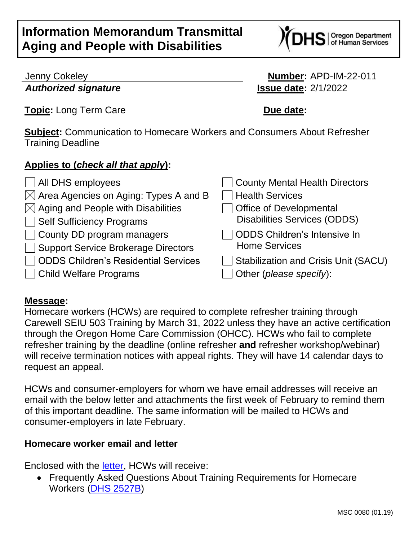

*Authorized signature* **Issue date:** 2/1/2022

Jenny Cokeley **Number:** APD-IM-22-011

**Topic:** Long Term Care **Due date:** 

**Subject:** Communication to Homecare Workers and Consumers About Refresher Training Deadline

# **Applies to (***check all that apply***):**

| County Mental Health Directors       |
|--------------------------------------|
| Health Services                      |
| Office of Developmental              |
| <b>Disabilities Services (ODDS)</b>  |
| ODDS Children's Intensive In         |
| <b>Home Services</b>                 |
| Stabilization and Crisis Unit (SACU) |
| Other (please specify):              |
|                                      |

## **Message:**

Homecare workers (HCWs) are required to complete refresher training through Carewell SEIU 503 Training by March 31, 2022 unless they have an active certification through the Oregon Home Care Commission (OHCC). HCWs who fail to complete refresher training by the deadline (online refresher **and** refresher workshop/webinar) will receive termination notices with appeal rights. They will have 14 calendar days to request an appeal.

HCWs and consumer-employers for whom we have email addresses will receive an email with the below letter and attachments the first week of February to remind them of this important deadline. The same information will be mailed to HCWs and consumer-employers in late February.

## **Homecare worker email and letter**

Enclosed with the [letter,](https://sharedsystems.dhsoha.state.or.us/DHSForms/Served/se1129544p.pdf) HCWs will receive:

• Frequently Asked Questions About Training Requirements for Homecare Workers [\(DHS 2527B\)](https://sharedsystems.dhsoha.state.or.us/DHSForms/Served/de2527b.pdf)

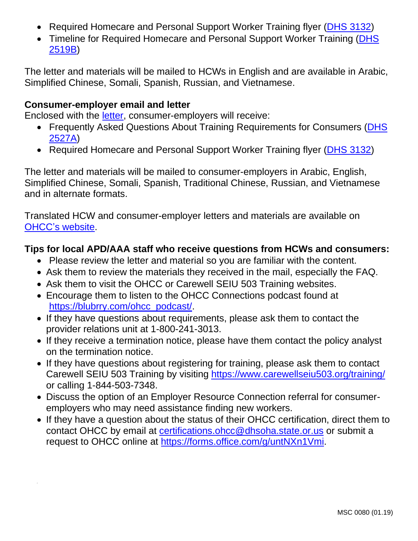- Required Homecare and Personal Support Worker Training flyer [\(DHS 3132\)](https://sharedsystems.dhsoha.state.or.us/DHSForms/Served/de3132.pdf)
- Timeline for Required Homecare and Personal Support Worker Training (DHS) [2519B\)](https://sharedsystems.dhsoha.state.or.us/DHSForms/Served/de2519b.pdf)

The letter and materials will be mailed to HCWs in English and are available in Arabic, Simplified Chinese, Somali, Spanish, Russian, and Vietnamese.

#### **Consumer-employer email and letter**

Enclosed with the [letter,](https://sharedsystems.dhsoha.state.or.us/DHSForms/Served/se1129544c.pdf) consumer-employers will receive:

- Frequently Asked Questions About Training Requirements for Consumers (DHS) [2527A\)](https://sharedsystems.dhsoha.state.or.us/DHSForms/Served/de2527a.pdf)
- Required Homecare and Personal Support Worker Training flyer [\(DHS 3132\)](https://sharedsystems.dhsoha.state.or.us/DHSForms/Served/de3132.pdf)

The letter and materials will be mailed to consumer-employers in Arabic, English, Simplified Chinese, Somali, Spanish, Traditional Chinese, Russian, and Vietnamese and in alternate formats.

Translated HCW and consumer-employer letters and materials are available on [OHCC's website.](https://www.oregon.gov/dhs/SENIORS-DISABILITIES/HCC/Pages/Senate-Bill-1534-Updates.aspx)

#### **Tips for local APD/AAA staff who receive questions from HCWs and consumers:**

- Please review the letter and material so you are familiar with the content.
- Ask them to review the materials they received in the mail, especially the FAQ.
- Ask them to visit the OHCC or Carewell SEIU 503 Training websites.
- Encourage them to listen to the OHCC Connections podcast found at [https://blubrry.com/ohcc\\_podcast/.](https://blubrry.com/ohcc_podcast/)
- If they have questions about requirements, please ask them to contact the provider relations unit at 1-800-241-3013.
- If they receive a termination notice, please have them contact the policy analyst on the termination notice.
- If they have questions about registering for training, please ask them to contact Carewell SEIU 503 Training by visiting<https://www.carewellseiu503.org/training/> or calling 1-844-503-7348.
- Discuss the option of an Employer Resource Connection referral for consumeremployers who may need assistance finding new workers.
- If they have a question about the status of their OHCC certification, direct them to contact OHCC by email at [certifications.ohcc@dhsoha.state.or.us](mailto:certifications.ohcc@dhsoha.state.or.us) or submit a request to OHCC online at [https://forms.office.com/g/untNXn1Vmi.](https://forms.office.com/g/untNXn1Vmi)